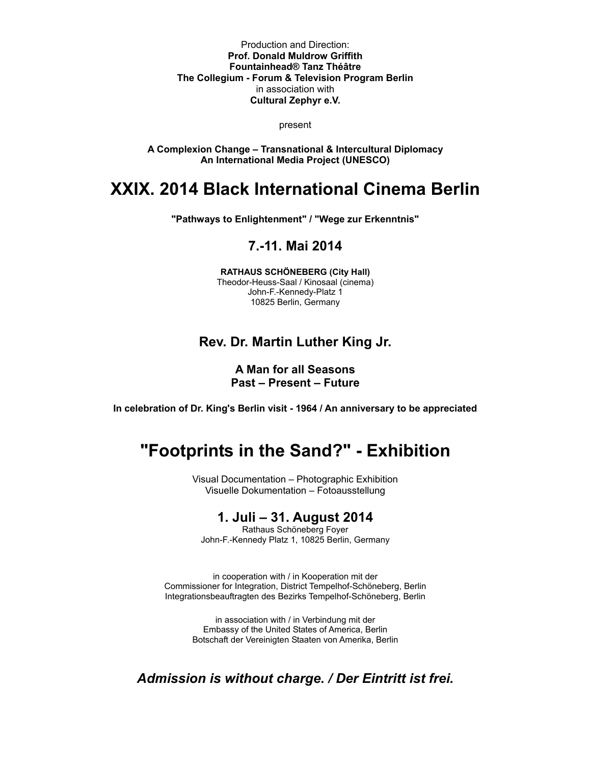Production and Direction: **Prof. Donald Muldrow Griffith Fountainhead® Tanz Théâtre The Collegium - Forum & Television Program Berlin** in association with **Cultural Zephyr e.V.**

present

**A Complexion Change – Transnational & Intercultural Diplomacy An International Media Project (UNESCO)**

# **XXIX. 2014 Black International Cinema Berlin**

**"Pathways to Enlightenment" / "Wege zur Erkenntnis"**

## **7.-11. Mai 2014**

**RATHAUS SCHÖNEBERG (City Hall)** Theodor-Heuss-Saal / Kinosaal (cinema) John-F.-Kennedy-Platz 1 10825 Berlin, Germany

## **Rev. Dr. Martin Luther King Jr.**

## **A Man for all Seasons Past – Present – Future**

**In celebration of Dr. King's Berlin visit - 1964 / An anniversary to be appreciated**

# **"Footprints in the Sand?" - Exhibition**

Visual Documentation – Photographic Exhibition Visuelle Dokumentation – Fotoausstellung

## **1. Juli – 31. August 2014**

Rathaus Schöneberg Foyer John-F.-Kennedy Platz 1, 10825 Berlin, Germany

in cooperation with / in Kooperation mit der Commissioner for Integration, District Tempelhof-Schöneberg, Berlin Integrationsbeauftragten des Bezirks Tempelhof-Schöneberg, Berlin

> in association with / in Verbindung mit der Embassy of the United States of America, Berlin Botschaft der Vereinigten Staaten von Amerika, Berlin

*Admission is without charge. / Der Eintritt ist frei.*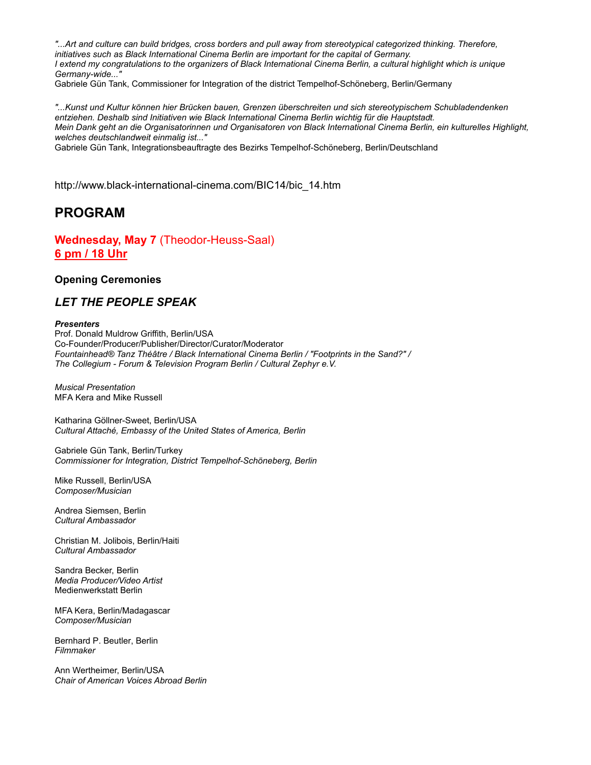*"...Art and culture can build bridges, cross borders and pull away from stereotypical categorized thinking. Therefore, initiatives such as Black International Cinema Berlin are important for the capital of Germany. I extend my congratulations to the organizers of Black International Cinema Berlin, a cultural highlight which is unique Germany-wide..."*

Gabriele Gün Tank, Commissioner for Integration of the district Tempelhof-Schöneberg, Berlin/Germany

*"...Kunst und Kultur können hier Brücken bauen, Grenzen überschreiten und sich stereotypischem Schubladendenken entziehen. Deshalb sind Initiativen wie Black International Cinema Berlin wichtig für die Hauptstadt. Mein Dank geht an die Organisatorinnen und Organisatoren von Black International Cinema Berlin, ein kulturelles Highlight, welches deutschlandweit einmalig ist..."*

Gabriele Gün Tank, Integrationsbeauftragte des Bezirks Tempelhof-Schöneberg, Berlin/Deutschland

http://www.black-international-cinema.com/BIC14/bic\_14.htm

## **PROGRAM**

**Wednesday, May 7** (Theodor-Heuss-Saal) **6 pm / 18 Uhr**

### **Opening Ceremonies**

## *LET THE PEOPLE SPEAK*

#### *Presenters*

Prof. Donald Muldrow Griffith, Berlin/USA Co-Founder/Producer/Publisher/Director/Curator/Moderator *Fountainhead® Tanz Théâtre / Black International Cinema Berlin / "Footprints in the Sand?" / The Collegium - Forum & Television Program Berlin / Cultural Zephyr e.V.*

*Musical Presentation*  MFA Kera and Mike Russell

Katharina Göllner-Sweet, Berlin/USA *Cultural Attaché, Embassy of the United States of America, Berlin* 

Gabriele Gün Tank, Berlin/Turkey *Commissioner for Integration, District Tempelhof-Schöneberg, Berlin* 

Mike Russell, Berlin/USA *Composer/Musician* 

Andrea Siemsen, Berlin *Cultural Ambassador* 

Christian M. Jolibois, Berlin/Haiti *Cultural Ambassador* 

Sandra Becker, Berlin *Media Producer/Video Artist*  Medienwerkstatt Berlin

MFA Kera, Berlin/Madagascar *Composer/Musician* 

Bernhard P. Beutler, Berlin *Filmmaker* 

Ann Wertheimer, Berlin/USA *Chair of American Voices Abroad Berlin*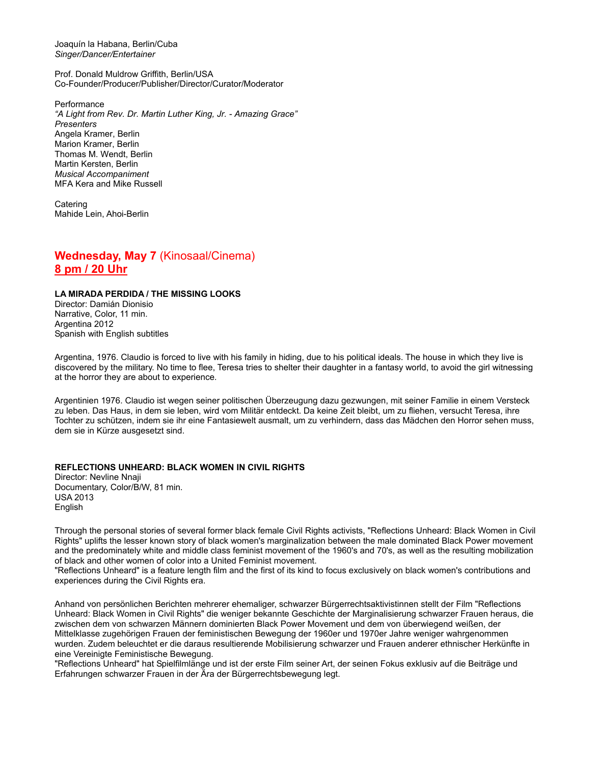Joaquín la Habana, Berlin/Cuba *Singer/Dancer/Entertainer* 

Prof. Donald Muldrow Griffith, Berlin/USA Co-Founder/Producer/Publisher/Director/Curator/Moderator

**Performance** *"A Light from Rev. Dr. Martin Luther King, Jr. - Amazing Grace" Presenters*  Angela Kramer, Berlin Marion Kramer, Berlin Thomas M. Wendt, Berlin Martin Kersten, Berlin *Musical Accompaniment*  MFA Kera and Mike Russell

Catering Mahide Lein, Ahoi-Berlin

## **Wednesday, May 7** (Kinosaal/Cinema) **8 pm / 20 Uhr**

#### **LA MIRADA PERDIDA / THE MISSING LOOKS**

Director: Damián Dionisio Narrative, Color, 11 min. Argentina 2012 Spanish with English subtitles

Argentina, 1976. Claudio is forced to live with his family in hiding, due to his political ideals. The house in which they live is discovered by the military. No time to flee, Teresa tries to shelter their daughter in a fantasy world, to avoid the girl witnessing at the horror they are about to experience.

Argentinien 1976. Claudio ist wegen seiner politischen Überzeugung dazu gezwungen, mit seiner Familie in einem Versteck zu leben. Das Haus, in dem sie leben, wird vom Militär entdeckt. Da keine Zeit bleibt, um zu fliehen, versucht Teresa, ihre Tochter zu schützen, indem sie ihr eine Fantasiewelt ausmalt, um zu verhindern, dass das Mädchen den Horror sehen muss, dem sie in Kürze ausgesetzt sind.

#### **REFLECTIONS UNHEARD: BLACK WOMEN IN CIVIL RIGHTS**

Director: Nevline Nnaji Documentary, Color/B/W, 81 min. USA 2013 English

Through the personal stories of several former black female Civil Rights activists, "Reflections Unheard: Black Women in Civil Rights" uplifts the lesser known story of black women's marginalization between the male dominated Black Power movement and the predominately white and middle class feminist movement of the 1960's and 70's, as well as the resulting mobilization of black and other women of color into a United Feminist movement.

"Reflections Unheard" is a feature length film and the first of its kind to focus exclusively on black women's contributions and experiences during the Civil Rights era.

Anhand von persönlichen Berichten mehrerer ehemaliger, schwarzer Bürgerrechtsaktivistinnen stellt der Film "Reflections Unheard: Black Women in Civil Rights" die weniger bekannte Geschichte der Marginalisierung schwarzer Frauen heraus, die zwischen dem von schwarzen Männern dominierten Black Power Movement und dem von überwiegend weißen, der Mittelklasse zugehörigen Frauen der feministischen Bewegung der 1960er und 1970er Jahre weniger wahrgenommen wurden. Zudem beleuchtet er die daraus resultierende Mobilisierung schwarzer und Frauen anderer ethnischer Herkünfte in eine Vereinigte Feministische Bewegung.

"Reflections Unheard" hat Spielfilmlänge und ist der erste Film seiner Art, der seinen Fokus exklusiv auf die Beiträge und Erfahrungen schwarzer Frauen in der Ära der Bürgerrechtsbewegung legt.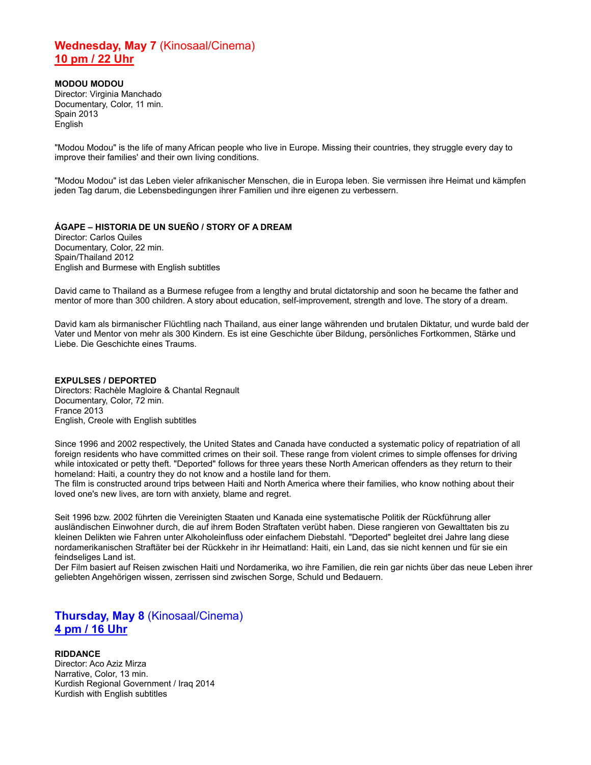## **Wednesday, May 7** (Kinosaal/Cinema) **10 pm / 22 Uhr**

**MODOU MODOU** Director: Virginia Manchado Documentary, Color, 11 min. Spain 2013 English

"Modou Modou" is the life of many African people who live in Europe. Missing their countries, they struggle every day to improve their families' and their own living conditions.

"Modou Modou" ist das Leben vieler afrikanischer Menschen, die in Europa leben. Sie vermissen ihre Heimat und kämpfen jeden Tag darum, die Lebensbedingungen ihrer Familien und ihre eigenen zu verbessern.

### **ÁGAPE – HISTORIA DE UN SUEÑO / STORY OF A DREAM**

Director: Carlos Quiles Documentary, Color, 22 min. Spain/Thailand 2012 English and Burmese with English subtitles

David came to Thailand as a Burmese refugee from a lengthy and brutal dictatorship and soon he became the father and mentor of more than 300 children. A story about education, self-improvement, strength and love. The story of a dream.

David kam als birmanischer Flüchtling nach Thailand, aus einer lange währenden und brutalen Diktatur, und wurde bald der Vater und Mentor von mehr als 300 Kindern. Es ist eine Geschichte über Bildung, persönliches Fortkommen, Stärke und Liebe. Die Geschichte eines Traums.

**EXPULSES / DEPORTED** Directors: Rachèle Magloire & Chantal Regnault Documentary, Color, 72 min. France 2013 English, Creole with English subtitles

Since 1996 and 2002 respectively, the United States and Canada have conducted a systematic policy of repatriation of all foreign residents who have committed crimes on their soil. These range from violent crimes to simple offenses for driving while intoxicated or petty theft. "Deported" follows for three years these North American offenders as they return to their homeland: Haiti, a country they do not know and a hostile land for them.

The film is constructed around trips between Haiti and North America where their families, who know nothing about their loved one's new lives, are torn with anxiety, blame and regret.

Seit 1996 bzw. 2002 führten die Vereinigten Staaten und Kanada eine systematische Politik der Rückführung aller ausländischen Einwohner durch, die auf ihrem Boden Straftaten verübt haben. Diese rangieren von Gewalttaten bis zu kleinen Delikten wie Fahren unter Alkoholeinfluss oder einfachem Diebstahl. "Deported" begleitet drei Jahre lang diese nordamerikanischen Straftäter bei der Rückkehr in ihr Heimatland: Haiti, ein Land, das sie nicht kennen und für sie ein feindseliges Land ist.

Der Film basiert auf Reisen zwischen Haiti und Nordamerika, wo ihre Familien, die rein gar nichts über das neue Leben ihrer geliebten Angehörigen wissen, zerrissen sind zwischen Sorge, Schuld und Bedauern.

## **Thursday, May 8** (Kinosaal/Cinema) **4 pm / 16 Uhr**

### **RIDDANCE**

Director: Aco Aziz Mirza Narrative, Color, 13 min. Kurdish Regional Government / Iraq 2014 Kurdish with English subtitles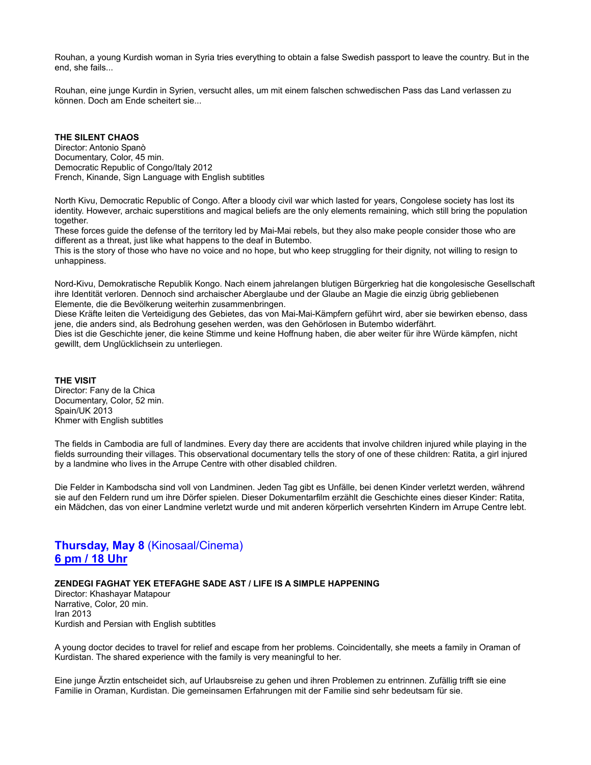Rouhan, a young Kurdish woman in Syria tries everything to obtain a false Swedish passport to leave the country. But in the end, she fails...

Rouhan, eine junge Kurdin in Syrien, versucht alles, um mit einem falschen schwedischen Pass das Land verlassen zu können. Doch am Ende scheitert sie...

### **THE SILENT CHAOS**

Director: Antonio Spanò Documentary, Color, 45 min. Democratic Republic of Congo/Italy 2012 French, Kinande, Sign Language with English subtitles

North Kivu, Democratic Republic of Congo. After a bloody civil war which lasted for years, Congolese society has lost its identity. However, archaic superstitions and magical beliefs are the only elements remaining, which still bring the population together.

These forces guide the defense of the territory led by Mai-Mai rebels, but they also make people consider those who are different as a threat, just like what happens to the deaf in Butembo.

This is the story of those who have no voice and no hope, but who keep struggling for their dignity, not willing to resign to unhappiness.

Nord-Kivu, Demokratische Republik Kongo. Nach einem jahrelangen blutigen Bürgerkrieg hat die kongolesische Gesellschaft ihre Identität verloren. Dennoch sind archaischer Aberglaube und der Glaube an Magie die einzig übrig gebliebenen Elemente, die die Bevölkerung weiterhin zusammenbringen.

Diese Kräfte leiten die Verteidigung des Gebietes, das von Mai-Mai-Kämpfern geführt wird, aber sie bewirken ebenso, dass jene, die anders sind, als Bedrohung gesehen werden, was den Gehörlosen in Butembo widerfährt. Dies ist die Geschichte jener, die keine Stimme und keine Hoffnung haben, die aber weiter für ihre Würde kämpfen, nicht gewillt, dem Unglücklichsein zu unterliegen.

**THE VISIT** Director: Fany de la Chica Documentary, Color, 52 min. Spain/UK 2013 Khmer with English subtitles

The fields in Cambodia are full of landmines. Every day there are accidents that involve children injured while playing in the fields surrounding their villages. This observational documentary tells the story of one of these children: Ratita, a girl injured by a landmine who lives in the Arrupe Centre with other disabled children.

Die Felder in Kambodscha sind voll von Landminen. Jeden Tag gibt es Unfälle, bei denen Kinder verletzt werden, während sie auf den Feldern rund um ihre Dörfer spielen. Dieser Dokumentarfilm erzählt die Geschichte eines dieser Kinder: Ratita, ein Mädchen, das von einer Landmine verletzt wurde und mit anderen körperlich versehrten Kindern im Arrupe Centre lebt.

## **Thursday, May 8** (Kinosaal/Cinema) **6 pm / 18 Uhr**

#### **ZENDEGI FAGHAT YEK ETEFAGHE SADE AST / LIFE IS A SIMPLE HAPPENING**

Director: Khashayar Matapour Narrative, Color, 20 min. Iran 2013 Kurdish and Persian with English subtitles

A young doctor decides to travel for relief and escape from her problems. Coincidentally, she meets a family in Oraman of Kurdistan. The shared experience with the family is very meaningful to her.

Eine junge Ärztin entscheidet sich, auf Urlaubsreise zu gehen und ihren Problemen zu entrinnen. Zufällig trifft sie eine Familie in Oraman, Kurdistan. Die gemeinsamen Erfahrungen mit der Familie sind sehr bedeutsam für sie.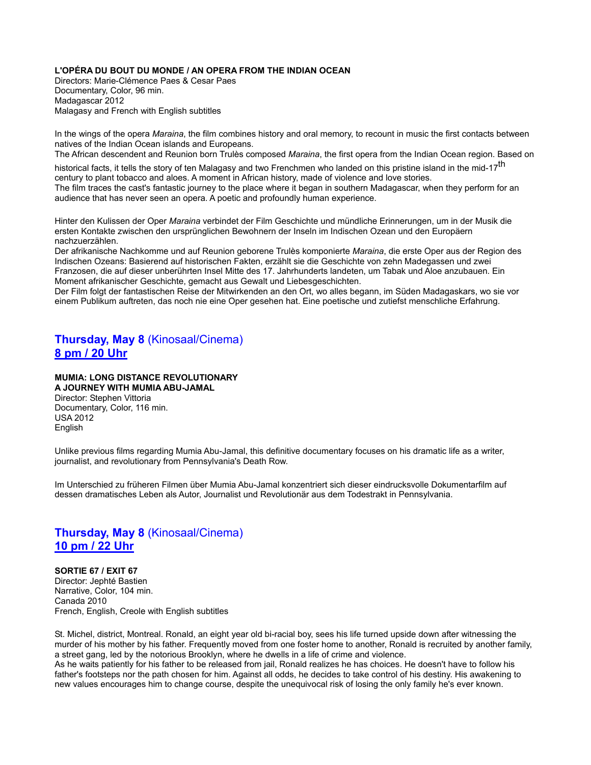### **L'OPÉRA DU BOUT DU MONDE / AN OPERA FROM THE INDIAN OCEAN**

Directors: Marie-Clémence Paes & Cesar Paes Documentary, Color, 96 min. Madagascar 2012 Malagasy and French with English subtitles

In the wings of the opera *Maraina*, the film combines history and oral memory, to recount in music the first contacts between natives of the Indian Ocean islands and Europeans.

The African descendent and Reunion born Trulès composed *Maraina*, the first opera from the Indian Ocean region. Based on

historical facts, it tells the story of ten Malagasy and two Frenchmen who landed on this pristine island in the mid-17<sup>th</sup> century to plant tobacco and aloes. A moment in African history, made of violence and love stories. The film traces the cast's fantastic journey to the place where it began in southern Madagascar, when they perform for an audience that has never seen an opera. A poetic and profoundly human experience.

Hinter den Kulissen der Oper *Maraina* verbindet der Film Geschichte und mündliche Erinnerungen, um in der Musik die ersten Kontakte zwischen den ursprünglichen Bewohnern der Inseln im Indischen Ozean und den Europäern nachzuerzählen.

Der afrikanische Nachkomme und auf Reunion geborene Trulès komponierte *Maraina*, die erste Oper aus der Region des Indischen Ozeans: Basierend auf historischen Fakten, erzählt sie die Geschichte von zehn Madegassen und zwei Franzosen, die auf dieser unberührten Insel Mitte des 17. Jahrhunderts landeten, um Tabak und Aloe anzubauen. Ein Moment afrikanischer Geschichte, gemacht aus Gewalt und Liebesgeschichten.

Der Film folgt der fantastischen Reise der Mitwirkenden an den Ort, wo alles begann, im Süden Madagaskars, wo sie vor einem Publikum auftreten, das noch nie eine Oper gesehen hat. Eine poetische und zutiefst menschliche Erfahrung.

## **Thursday, May 8** (Kinosaal/Cinema) **8 pm / 20 Uhr**

### **MUMIA: LONG DISTANCE REVOLUTIONARY**

**A JOURNEY WITH MUMIA ABU-JAMAL** Director: Stephen Vittoria Documentary, Color, 116 min. USA 2012 English

Unlike previous films regarding Mumia Abu-Jamal, this definitive documentary focuses on his dramatic life as a writer, journalist, and revolutionary from Pennsylvania's Death Row.

Im Unterschied zu früheren Filmen über Mumia Abu-Jamal konzentriert sich dieser eindrucksvolle Dokumentarfilm auf dessen dramatisches Leben als Autor, Journalist und Revolutionär aus dem Todestrakt in Pennsylvania.

## **Thursday, May 8** (Kinosaal/Cinema) **10 pm / 22 Uhr**

**SORTIE 67 / EXIT 67** Director: Jephté Bastien Narrative, Color, 104 min. Canada 2010 French, English, Creole with English subtitles

St. Michel, district, Montreal. Ronald, an eight year old bi-racial boy, sees his life turned upside down after witnessing the murder of his mother by his father. Frequently moved from one foster home to another, Ronald is recruited by another family, a street gang, led by the notorious Brooklyn, where he dwells in a life of crime and violence.

As he waits patiently for his father to be released from jail, Ronald realizes he has choices. He doesn't have to follow his father's footsteps nor the path chosen for him. Against all odds, he decides to take control of his destiny. His awakening to new values encourages him to change course, despite the unequivocal risk of losing the only family he's ever known.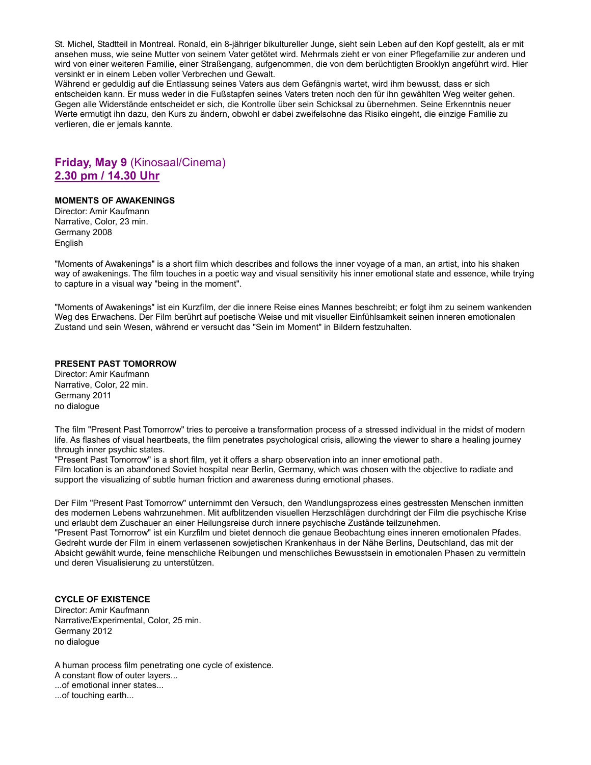St. Michel, Stadtteil in Montreal. Ronald, ein 8-jähriger bikultureller Junge, sieht sein Leben auf den Kopf gestellt, als er mit ansehen muss, wie seine Mutter von seinem Vater getötet wird. Mehrmals zieht er von einer Pflegefamilie zur anderen und wird von einer weiteren Familie, einer Straßengang, aufgenommen, die von dem berüchtigten Brooklyn angeführt wird. Hier versinkt er in einem Leben voller Verbrechen und Gewalt.

Während er geduldig auf die Entlassung seines Vaters aus dem Gefängnis wartet, wird ihm bewusst, dass er sich entscheiden kann. Er muss weder in die Fußstapfen seines Vaters treten noch den für ihn gewählten Weg weiter gehen. Gegen alle Widerstände entscheidet er sich, die Kontrolle über sein Schicksal zu übernehmen. Seine Erkenntnis neuer Werte ermutigt ihn dazu, den Kurs zu ändern, obwohl er dabei zweifelsohne das Risiko eingeht, die einzige Familie zu verlieren, die er jemals kannte.

## **Friday, May 9** (Kinosaal/Cinema) **2.30 pm / 14.30 Uhr**

### **MOMENTS OF AWAKENINGS**

Director: Amir Kaufmann Narrative, Color, 23 min. Germany 2008 English

"Moments of Awakenings" is a short film which describes and follows the inner voyage of a man, an artist, into his shaken way of awakenings. The film touches in a poetic way and visual sensitivity his inner emotional state and essence, while trying to capture in a visual way "being in the moment".

"Moments of Awakenings" ist ein Kurzfilm, der die innere Reise eines Mannes beschreibt; er folgt ihm zu seinem wankenden Weg des Erwachens. Der Film berührt auf poetische Weise und mit visueller Einfühlsamkeit seinen inneren emotionalen Zustand und sein Wesen, während er versucht das "Sein im Moment" in Bildern festzuhalten.

### **PRESENT PAST TOMORROW**

Director: Amir Kaufmann Narrative, Color, 22 min. Germany 2011 no dialogue

The film "Present Past Tomorrow" tries to perceive a transformation process of a stressed individual in the midst of modern life. As flashes of visual heartbeats, the film penetrates psychological crisis, allowing the viewer to share a healing journey through inner psychic states.

"Present Past Tomorrow" is a short film, yet it offers a sharp observation into an inner emotional path. Film location is an abandoned Soviet hospital near Berlin, Germany, which was chosen with the objective to radiate and support the visualizing of subtle human friction and awareness during emotional phases.

Der Film "Present Past Tomorrow" unternimmt den Versuch, den Wandlungsprozess eines gestressten Menschen inmitten des modernen Lebens wahrzunehmen. Mit aufblitzenden visuellen Herzschlägen durchdringt der Film die psychische Krise und erlaubt dem Zuschauer an einer Heilungsreise durch innere psychische Zustände teilzunehmen. "Present Past Tomorrow" ist ein Kurzfilm und bietet dennoch die genaue Beobachtung eines inneren emotionalen Pfades. Gedreht wurde der Film in einem verlassenen sowjetischen Krankenhaus in der Nähe Berlins, Deutschland, das mit der Absicht gewählt wurde, feine menschliche Reibungen und menschliches Bewusstsein in emotionalen Phasen zu vermitteln und deren Visualisierung zu unterstützen.

### **CYCLE OF EXISTENCE**

Director: Amir Kaufmann Narrative/Experimental, Color, 25 min. Germany 2012 no dialogue

A human process film penetrating one cycle of existence. A constant flow of outer layers... ...of emotional inner states... ...of touching earth...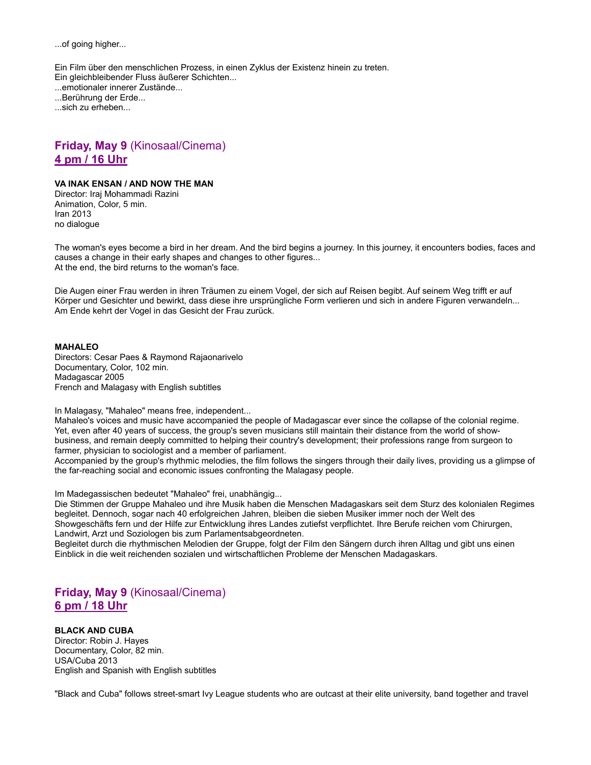...of going higher...

Ein Film über den menschlichen Prozess, in einen Zyklus der Existenz hinein zu treten. Ein gleichbleibender Fluss äußerer Schichten... ...emotionaler innerer Zustände... ...Berührung der Erde... ...sich zu erheben...

## **Friday, May 9** (Kinosaal/Cinema) **4 pm / 16 Uhr**

### **VA INAK ENSAN / AND NOW THE MAN**

Director: Iraj Mohammadi Razini Animation, Color, 5 min. Iran 2013 no dialogue

The woman's eyes become a bird in her dream. And the bird begins a journey. In this journey, it encounters bodies, faces and causes a change in their early shapes and changes to other figures... At the end, the bird returns to the woman's face.

Die Augen einer Frau werden in ihren Träumen zu einem Vogel, der sich auf Reisen begibt. Auf seinem Weg trifft er auf Körper und Gesichter und bewirkt, dass diese ihre ursprüngliche Form verlieren und sich in andere Figuren verwandeln... Am Ende kehrt der Vogel in das Gesicht der Frau zurück.

### **MAHALEO**

Directors: Cesar Paes & Raymond Rajaonarivelo Documentary, Color, 102 min. Madagascar 2005 French and Malagasy with English subtitles

In Malagasy, "Mahaleo" means free, independent...

Mahaleo's voices and music have accompanied the people of Madagascar ever since the collapse of the colonial regime. Yet, even after 40 years of success, the group's seven musicians still maintain their distance from the world of showbusiness, and remain deeply committed to helping their country's development; their professions range from surgeon to farmer, physician to sociologist and a member of parliament.

Accompanied by the group's rhythmic melodies, the film follows the singers through their daily lives, providing us a glimpse of the far-reaching social and economic issues confronting the Malagasy people.

Im Madegassischen bedeutet "Mahaleo" frei, unabhängig...

Die Stimmen der Gruppe Mahaleo und ihre Musik haben die Menschen Madagaskars seit dem Sturz des kolonialen Regimes begleitet. Dennoch, sogar nach 40 erfolgreichen Jahren, bleiben die sieben Musiker immer noch der Welt des Showgeschäfts fern und der Hilfe zur Entwicklung ihres Landes zutiefst verpflichtet. Ihre Berufe reichen vom Chirurgen, Landwirt, Arzt und Soziologen bis zum Parlamentsabgeordneten.

Begleitet durch die rhythmischen Melodien der Gruppe, folgt der Film den Sängern durch ihren Alltag und gibt uns einen Einblick in die weit reichenden sozialen und wirtschaftlichen Probleme der Menschen Madagaskars.

**Friday, May 9** (Kinosaal/Cinema) **6 pm / 18 Uhr**

### **BLACK AND CUBA**

Director: Robin J. Hayes Documentary, Color, 82 min. USA/Cuba 2013 English and Spanish with English subtitles

"Black and Cuba" follows street-smart Ivy League students who are outcast at their elite university, band together and travel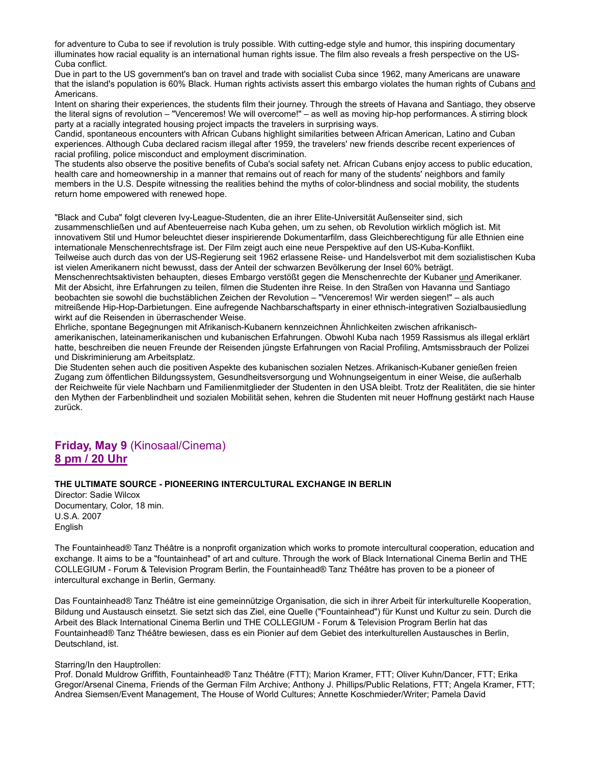for adventure to Cuba to see if revolution is truly possible. With cutting-edge style and humor, this inspiring documentary illuminates how racial equality is an international human rights issue. The film also reveals a fresh perspective on the US-Cuba conflict.

Due in part to the US government's ban on travel and trade with socialist Cuba since 1962, many Americans are unaware that the island's population is 60% Black. Human rights activists assert this embargo violates the human rights of Cubans and Americans.

Intent on sharing their experiences, the students film their journey. Through the streets of Havana and Santiago, they observe the literal signs of revolution – "Venceremos! We will overcome!" – as well as moving hip-hop performances. A stirring block party at a racially integrated housing project impacts the travelers in surprising ways.

Candid, spontaneous encounters with African Cubans highlight similarities between African American, Latino and Cuban experiences. Although Cuba declared racism illegal after 1959, the travelers' new friends describe recent experiences of racial profiling, police misconduct and employment discrimination.

The students also observe the positive benefits of Cuba's social safety net. African Cubans enjoy access to public education, health care and homeownership in a manner that remains out of reach for many of the students' neighbors and family members in the U.S. Despite witnessing the realities behind the myths of color-blindness and social mobility, the students return home empowered with renewed hope.

"Black and Cuba" folgt cleveren Ivy-League-Studenten, die an ihrer Elite-Universität Außenseiter sind, sich zusammenschließen und auf Abenteuerreise nach Kuba gehen, um zu sehen, ob Revolution wirklich möglich ist. Mit innovativem Stil und Humor beleuchtet dieser inspirierende Dokumentarfilm, dass Gleichberechtigung für alle Ethnien eine internationale Menschenrechtsfrage ist. Der Film zeigt auch eine neue Perspektive auf den US-Kuba-Konflikt. Teilweise auch durch das von der US-Regierung seit 1962 erlassene Reise- und Handelsverbot mit dem sozialistischen Kuba ist vielen Amerikanern nicht bewusst, dass der Anteil der schwarzen Bevölkerung der Insel 60% beträgt. Menschenrechtsaktivisten behaupten, dieses Embargo verstößt gegen die Menschenrechte der Kubaner und Amerikaner. Mit der Absicht, ihre Erfahrungen zu teilen, filmen die Studenten ihre Reise. In den Straßen von Havanna und Santiago beobachten sie sowohl die buchstäblichen Zeichen der Revolution – "Venceremos! Wir werden siegen!" – als auch mitreißende Hip-Hop-Darbietungen. Eine aufregende Nachbarschaftsparty in einer ethnisch-integrativen Sozialbausiedlung

wirkt auf die Reisenden in überraschender Weise.

Ehrliche, spontane Begegnungen mit Afrikanisch-Kubanern kennzeichnen Ähnlichkeiten zwischen afrikanischamerikanischen, lateinamerikanischen und kubanischen Erfahrungen. Obwohl Kuba nach 1959 Rassismus als illegal erklärt hatte, beschreiben die neuen Freunde der Reisenden jüngste Erfahrungen von Racial Profiling, Amtsmissbrauch der Polizei und Diskriminierung am Arbeitsplatz.

Die Studenten sehen auch die positiven Aspekte des kubanischen sozialen Netzes. Afrikanisch-Kubaner genießen freien Zugang zum öffentlichen Bildungssystem, Gesundheitsversorgung und Wohnungseigentum in einer Weise, die außerhalb der Reichweite für viele Nachbarn und Familienmitglieder der Studenten in den USA bleibt. Trotz der Realitäten, die sie hinter den Mythen der Farbenblindheit und sozialen Mobilität sehen, kehren die Studenten mit neuer Hoffnung gestärkt nach Hause zurück.

## **Friday, May 9** (Kinosaal/Cinema) **8 pm / 20 Uhr**

### **THE ULTIMATE SOURCE - PIONEERING INTERCULTURAL EXCHANGE IN BERLIN**

Director: Sadie Wilcox Documentary, Color, 18 min. U.S.A. 2007 English

The Fountainhead® Tanz Théâtre is a nonprofit organization which works to promote intercultural cooperation, education and exchange. It aims to be a "fountainhead" of art and culture. Through the work of Black International Cinema Berlin and THE COLLEGIUM - Forum & Television Program Berlin, the Fountainhead® Tanz Théâtre has proven to be a pioneer of intercultural exchange in Berlin, Germany.

Das Fountainhead® Tanz Théâtre ist eine gemeinnützige Organisation, die sich in ihrer Arbeit für interkulturelle Kooperation, Bildung und Austausch einsetzt. Sie setzt sich das Ziel, eine Quelle ("Fountainhead") für Kunst und Kultur zu sein. Durch die Arbeit des Black International Cinema Berlin und THE COLLEGIUM - Forum & Television Program Berlin hat das Fountainhead® Tanz Théâtre bewiesen, dass es ein Pionier auf dem Gebiet des interkulturellen Austausches in Berlin, Deutschland, ist.

### Starring/In den Hauptrollen:

Prof. Donald Muldrow Griffith, Fountainhead® Tanz Théâtre (FTT); Marion Kramer, FTT; Oliver Kuhn/Dancer, FTT; Erika Gregor/Arsenal Cinema, Friends of the German Film Archive; Anthony J. Phillips/Public Relations, FTT; Angela Kramer, FTT; Andrea Siemsen/Event Management, The House of World Cultures; Annette Koschmieder/Writer; Pamela David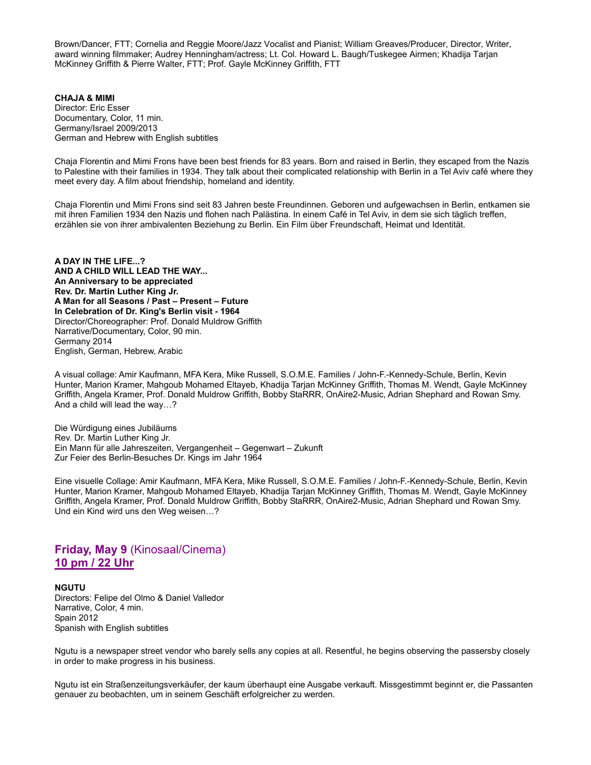Brown/Dancer, FTT; Cornelia and Reggie Moore/Jazz Vocalist and Pianist; William Greaves/Producer, Director, Writer, award winning filmmaker; Audrey Henningham/actress; Lt. Col. Howard L. Baugh/Tuskegee Airmen; Khadija Tarjan McKinney Griffith & Pierre Walter, FTT; Prof. Gayle McKinney Griffith, FTT

**CHAJA & MIMI** Director: Eric Esser Documentary, Color, 11 min. Germany/Israel 2009/2013 German and Hebrew with English subtitles

Chaja Florentin and Mimi Frons have been best friends for 83 years. Born and raised in Berlin, they escaped from the Nazis to Palestine with their families in 1934. They talk about their complicated relationship with Berlin in a Tel Aviv café where they meet every day. A film about friendship, homeland and identity.

Chaja Florentin und Mimi Frons sind seit 83 Jahren beste Freundinnen. Geboren und aufgewachsen in Berlin, entkamen sie mit ihren Familien 1934 den Nazis und flohen nach Palästina. In einem Café in Tel Aviv, in dem sie sich täglich treffen, erzählen sie von ihrer ambivalenten Beziehung zu Berlin. Ein Film über Freundschaft, Heimat und Identität.

**A DAY IN THE LIFE...? AND A CHILD WILL LEAD THE WAY... An Anniversary to be appreciated Rev. Dr. Martin Luther King Jr. A Man for all Seasons / Past – Present – Future In Celebration of Dr. King's Berlin visit - 1964** Director/Choreographer: Prof. Donald Muldrow Griffith Narrative/Documentary, Color, 90 min. Germany 2014 English, German, Hebrew, Arabic

A visual collage: Amir Kaufmann, MFA Kera, Mike Russell, S.O.M.E. Families / John-F.-Kennedy-Schule, Berlin, Kevin Hunter, Marion Kramer, Mahgoub Mohamed Eltayeb, Khadija Tarjan McKinney Griffith, Thomas M. Wendt, Gayle McKinney Griffith, Angela Kramer, Prof. Donald Muldrow Griffith, Bobby StaRRR, OnAire2-Music, Adrian Shephard and Rowan Smy. And a child will lead the way…?

Die Würdigung eines Jubiläums Rev. Dr. Martin Luther King Jr. Ein Mann für alle Jahreszeiten, Vergangenheit – Gegenwart – Zukunft Zur Feier des Berlin-Besuches Dr. Kings im Jahr 1964

Eine visuelle Collage: Amir Kaufmann, MFA Kera, Mike Russell, S.O.M.E. Families / John-F.-Kennedy-Schule, Berlin, Kevin Hunter, Marion Kramer, Mahgoub Mohamed Eltayeb, Khadija Tarjan McKinney Griffith, Thomas M. Wendt, Gayle McKinney Griffith, Angela Kramer, Prof. Donald Muldrow Griffith, Bobby StaRRR, OnAire2-Music, Adrian Shephard und Rowan Smy. Und ein Kind wird uns den Weg weisen…?

## **Friday, May 9** (Kinosaal/Cinema) **10 pm / 22 Uhr**

**NGUTU** Directors: Felipe del Olmo & Daniel Valledor Narrative, Color, 4 min. Spain 2012 Spanish with English subtitles

Ngutu is a newspaper street vendor who barely sells any copies at all. Resentful, he begins observing the passersby closely in order to make progress in his business.

Ngutu ist ein Straßenzeitungsverkäufer, der kaum überhaupt eine Ausgabe verkauft. Missgestimmt beginnt er, die Passanten genauer zu beobachten, um in seinem Geschäft erfolgreicher zu werden.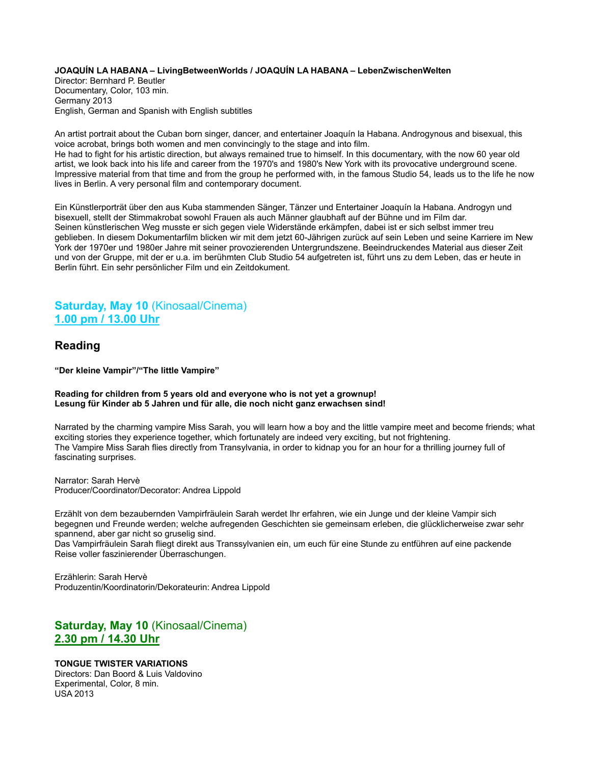#### **JOAQUÍN LA HABANA – LivingBetweenWorlds / JOAQUÍN LA HABANA – LebenZwischenWelten**

Director: Bernhard P. Beutler Documentary, Color, 103 min. Germany 2013 English, German and Spanish with English subtitles

An artist portrait about the Cuban born singer, dancer, and entertainer Joaquín la Habana. Androgynous and bisexual, this voice acrobat, brings both women and men convincingly to the stage and into film. He had to fight for his artistic direction, but always remained true to himself. In this documentary, with the now 60 year old artist, we look back into his life and career from the 1970's and 1980's New York with its provocative underground scene. Impressive material from that time and from the group he performed with, in the famous Studio 54, leads us to the life he now lives in Berlin. A very personal film and contemporary document.

Ein Künstlerporträt über den aus Kuba stammenden Sänger, Tänzer und Entertainer Joaquín la Habana. Androgyn und bisexuell, stellt der Stimmakrobat sowohl Frauen als auch Männer glaubhaft auf der Bühne und im Film dar. Seinen künstlerischen Weg musste er sich gegen viele Widerstände erkämpfen, dabei ist er sich selbst immer treu geblieben. In diesem Dokumentarfilm blicken wir mit dem jetzt 60-Jährigen zurück auf sein Leben und seine Karriere im New York der 1970er und 1980er Jahre mit seiner provozierenden Untergrundszene. Beeindruckendes Material aus dieser Zeit und von der Gruppe, mit der er u.a. im berühmten Club Studio 54 aufgetreten ist, führt uns zu dem Leben, das er heute in Berlin führt. Ein sehr persönlicher Film und ein Zeitdokument.

## **Saturday, May 10** (Kinosaal/Cinema) **1.00 pm / 13.00 Uhr**

## **Reading**

**"Der kleine Vampir"/"The little Vampire"**

### **Reading for children from 5 years old and everyone who is not yet a grownup! Lesung für Kinder ab 5 Jahren und für alle, die noch nicht ganz erwachsen sind!**

Narrated by the charming vampire Miss Sarah, you will learn how a boy and the little vampire meet and become friends; what exciting stories they experience together, which fortunately are indeed very exciting, but not frightening. The Vampire Miss Sarah flies directly from Transylvania, in order to kidnap you for an hour for a thrilling journey full of fascinating surprises.

Narrator: Sarah Hervè Producer/Coordinator/Decorator: Andrea Lippold

Erzählt von dem bezaubernden Vampirfräulein Sarah werdet Ihr erfahren, wie ein Junge und der kleine Vampir sich begegnen und Freunde werden; welche aufregenden Geschichten sie gemeinsam erleben, die glücklicherweise zwar sehr spannend, aber gar nicht so gruselig sind.

Das Vampirfräulein Sarah fliegt direkt aus Transsylvanien ein, um euch für eine Stunde zu entführen auf eine packende Reise voller faszinierender Überraschungen.

Erzählerin: Sarah Hervè Produzentin/Koordinatorin/Dekorateurin: Andrea Lippold

## **Saturday, May 10** (Kinosaal/Cinema) **2.30 pm / 14.30 Uhr**

### **TONGUE TWISTER VARIATIONS**

Directors: Dan Boord & Luis Valdovino Experimental, Color, 8 min. USA 2013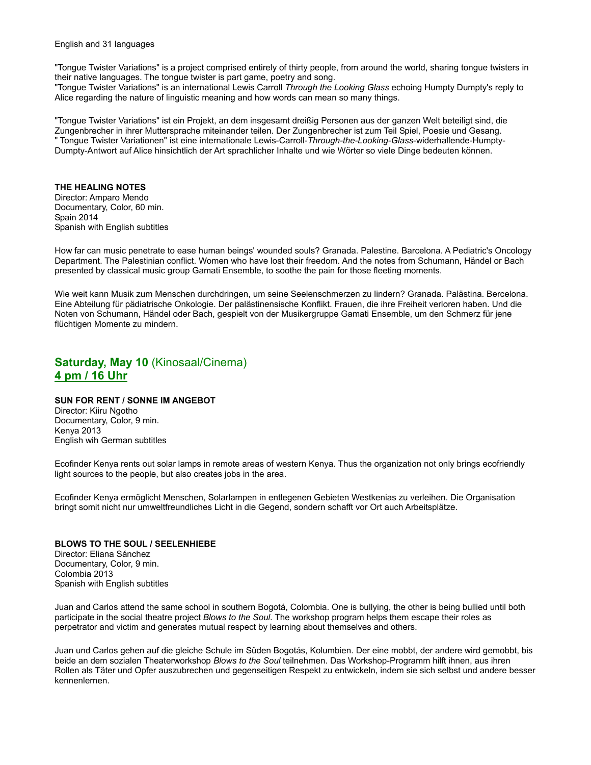English and 31 languages

"Tongue Twister Variations" is a project comprised entirely of thirty people, from around the world, sharing tongue twisters in their native languages. The tongue twister is part game, poetry and song.

"Tongue Twister Variations" is an international Lewis Carroll *Through the Looking Glass* echoing Humpty Dumpty's reply to Alice regarding the nature of linguistic meaning and how words can mean so many things.

"Tongue Twister Variations" ist ein Projekt, an dem insgesamt dreißig Personen aus der ganzen Welt beteiligt sind, die Zungenbrecher in ihrer Muttersprache miteinander teilen. Der Zungenbrecher ist zum Teil Spiel, Poesie und Gesang. " Tongue Twister Variationen" ist eine internationale Lewis-Carroll-*Through-the-Looking-Glass*-widerhallende-Humpty-Dumpty-Antwort auf Alice hinsichtlich der Art sprachlicher Inhalte und wie Wörter so viele Dinge bedeuten können.

### **THE HEALING NOTES**

Director: Amparo Mendo Documentary, Color, 60 min. Spain 2014 Spanish with English subtitles

How far can music penetrate to ease human beings' wounded souls? Granada. Palestine. Barcelona. A Pediatric's Oncology Department. The Palestinian conflict. Women who have lost their freedom. And the notes from Schumann, Händel or Bach presented by classical music group Gamati Ensemble, to soothe the pain for those fleeting moments.

Wie weit kann Musik zum Menschen durchdringen, um seine Seelenschmerzen zu lindern? Granada. Palästina. Bercelona. Eine Abteilung für pädiatrische Onkologie. Der palästinensische Konflikt. Frauen, die ihre Freiheit verloren haben. Und die Noten von Schumann, Händel oder Bach, gespielt von der Musikergruppe Gamati Ensemble, um den Schmerz für jene flüchtigen Momente zu mindern.

## **Saturday, May 10** (Kinosaal/Cinema) **4 pm / 16 Uhr**

### **SUN FOR RENT / SONNE IM ANGEBOT**

Director: Kiiru Ngotho Documentary, Color, 9 min. Kenya 2013 English wih German subtitles

Ecofinder Kenya rents out solar lamps in remote areas of western Kenya. Thus the organization not only brings ecofriendly light sources to the people, but also creates jobs in the area.

Ecofinder Kenya ermöglicht Menschen, Solarlampen in entlegenen Gebieten Westkenias zu verleihen. Die Organisation bringt somit nicht nur umweltfreundliches Licht in die Gegend, sondern schafft vor Ort auch Arbeitsplätze.

### **BLOWS TO THE SOUL / SEELENHIEBE**

Director: Eliana Sánchez Documentary, Color, 9 min. Colombia 2013 Spanish with English subtitles

Juan and Carlos attend the same school in southern Bogotá, Colombia. One is bullying, the other is being bullied until both participate in the social theatre project *Blows to the Soul*. The workshop program helps them escape their roles as perpetrator and victim and generates mutual respect by learning about themselves and others.

Juan und Carlos gehen auf die gleiche Schule im Süden Bogotás, Kolumbien. Der eine mobbt, der andere wird gemobbt, bis beide an dem sozialen Theaterworkshop *Blows to the Soul* teilnehmen. Das Workshop-Programm hilft ihnen, aus ihren Rollen als Täter und Opfer auszubrechen und gegenseitigen Respekt zu entwickeln, indem sie sich selbst und andere besser kennenlernen.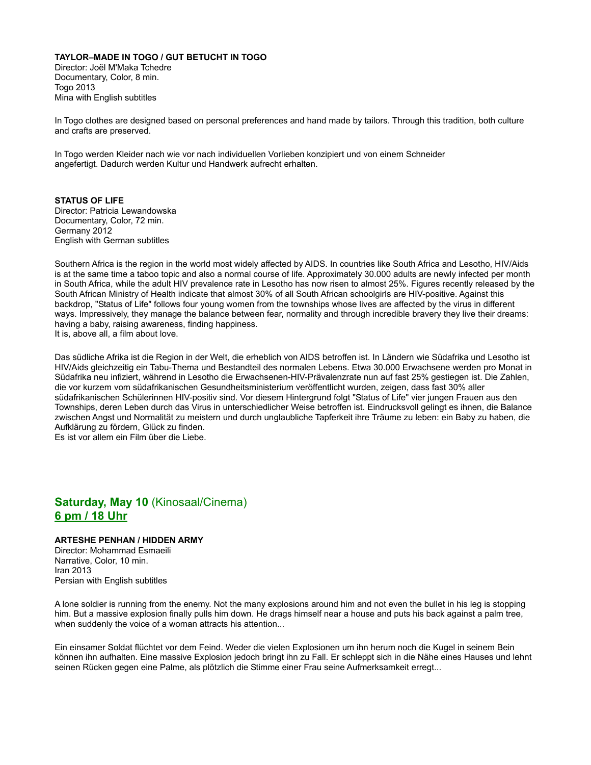#### **TAYLOR–MADE IN TOGO / GUT BETUCHT IN TOGO**

Director: Joël M'Maka Tchedre Documentary, Color, 8 min. Togo 2013 Mina with English subtitles

In Togo clothes are designed based on personal preferences and hand made by tailors. Through this tradition, both culture and crafts are preserved.

In Togo werden Kleider nach wie vor nach individuellen Vorlieben konzipiert und von einem Schneider angefertigt. Dadurch werden Kultur und Handwerk aufrecht erhalten.

### **STATUS OF LIFE**

Director: Patricia Lewandowska Documentary, Color, 72 min. Germany 2012 English with German subtitles

Southern Africa is the region in the world most widely affected by AIDS. In countries like South Africa and Lesotho, HIV/Aids is at the same time a taboo topic and also a normal course of life. Approximately 30.000 adults are newly infected per month in South Africa, while the adult HIV prevalence rate in Lesotho has now risen to almost 25%. Figures recently released by the South African Ministry of Health indicate that almost 30% of all South African schoolgirls are HIV-positive. Against this backdrop, "Status of Life" follows four young women from the townships whose lives are affected by the virus in different ways. Impressively, they manage the balance between fear, normality and through incredible bravery they live their dreams: having a baby, raising awareness, finding happiness. It is, above all, a film about love.

Das südliche Afrika ist die Region in der Welt, die erheblich von AIDS betroffen ist. In Ländern wie Südafrika und Lesotho ist HIV/Aids gleichzeitig ein Tabu-Thema und Bestandteil des normalen Lebens. Etwa 30.000 Erwachsene werden pro Monat in Südafrika neu infiziert, während in Lesotho die Erwachsenen-HIV-Prävalenzrate nun auf fast 25% gestiegen ist. Die Zahlen, die vor kurzem vom südafrikanischen Gesundheitsministerium veröffentlicht wurden, zeigen, dass fast 30% aller südafrikanischen Schülerinnen HIV-positiv sind. Vor diesem Hintergrund folgt "Status of Life" vier jungen Frauen aus den Townships, deren Leben durch das Virus in unterschiedlicher Weise betroffen ist. Eindrucksvoll gelingt es ihnen, die Balance zwischen Angst und Normalität zu meistern und durch unglaubliche Tapferkeit ihre Träume zu leben: ein Baby zu haben, die Aufklärung zu fördern, Glück zu finden.

Es ist vor allem ein Film über die Liebe.

## **Saturday, May 10** (Kinosaal/Cinema) **6 pm / 18 Uhr**

### **ARTESHE PENHAN / HIDDEN ARMY**

Director: Mohammad Esmaeili Narrative, Color, 10 min. Iran 2013 Persian with English subtitles

A lone soldier is running from the enemy. Not the many explosions around him and not even the bullet in his leg is stopping him. But a massive explosion finally pulls him down. He drags himself near a house and puts his back against a palm tree, when suddenly the voice of a woman attracts his attention...

Ein einsamer Soldat flüchtet vor dem Feind. Weder die vielen Explosionen um ihn herum noch die Kugel in seinem Bein können ihn aufhalten. Eine massive Explosion jedoch bringt ihn zu Fall. Er schleppt sich in die Nähe eines Hauses und lehnt seinen Rücken gegen eine Palme, als plötzlich die Stimme einer Frau seine Aufmerksamkeit erregt...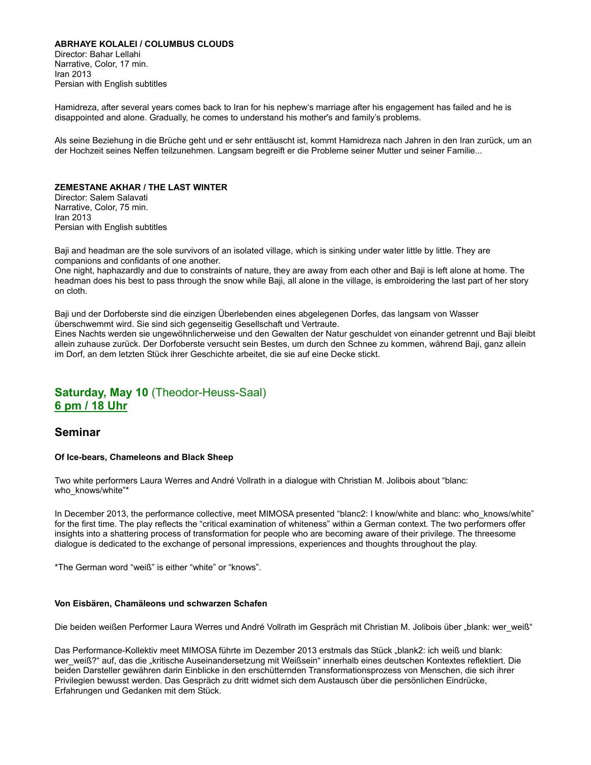### **ABRHAYE KOLALEI / COLUMBUS CLOUDS**

Director: Bahar Lellahi Narrative, Color, 17 min. Iran 2013 Persian with English subtitles

Hamidreza, after several years comes back to Iran for his nephew's marriage after his engagement has failed and he is disappointed and alone. Gradually, he comes to understand his mother's and family's problems.

Als seine Beziehung in die Brüche geht und er sehr enttäuscht ist, kommt Hamidreza nach Jahren in den Iran zurück, um an der Hochzeit seines Neffen teilzunehmen. Langsam begreift er die Probleme seiner Mutter und seiner Familie...

### **ZEMESTANE AKHAR / THE LAST WINTER**

Director: Salem Salavati Narrative, Color, 75 min. Iran 2013 Persian with English subtitles

Baji and headman are the sole survivors of an isolated village, which is sinking under water little by little. They are companions and confidants of one another.

One night, haphazardly and due to constraints of nature, they are away from each other and Baji is left alone at home. The headman does his best to pass through the snow while Baji, all alone in the village, is embroidering the last part of her story on cloth.

Baji und der Dorfoberste sind die einzigen Überlebenden eines abgelegenen Dorfes, das langsam von Wasser überschwemmt wird. Sie sind sich gegenseitig Gesellschaft und Vertraute.

Eines Nachts werden sie ungewöhnlicherweise und den Gewalten der Natur geschuldet von einander getrennt und Baji bleibt allein zuhause zurück. Der Dorfoberste versucht sein Bestes, um durch den Schnee zu kommen, während Baji, ganz allein im Dorf, an dem letzten Stück ihrer Geschichte arbeitet, die sie auf eine Decke stickt.

## **Saturday, May 10** (Theodor-Heuss-Saal) **6 pm / 18 Uhr**

### **Seminar**

### **Of Ice-bears, Chameleons and Black Sheep**

Two white performers Laura Werres and André Vollrath in a dialogue with Christian M. Jolibois about "blanc: who\_knows/white"\*

In December 2013, the performance collective, meet MIMOSA presented "blanc2: I know/white and blanc: who knows/white" for the first time. The play reflects the "critical examination of whiteness" within a German context. The two performers offer insights into a shattering process of transformation for people who are becoming aware of their privilege. The threesome dialogue is dedicated to the exchange of personal impressions, experiences and thoughts throughout the play.

\*The German word "weiß" is either "white" or "knows".

#### **Von Eisbären, Chamäleons und schwarzen Schafen**

Die beiden weißen Performer Laura Werres und André Vollrath im Gespräch mit Christian M. Jolibois über "blank: wer weiß"

Das Performance-Kollektiv meet MIMOSA führte im Dezember 2013 erstmals das Stück "blank2: ich weiß und blank: wer\_weiß?" auf, das die "kritische Auseinandersetzung mit Weißsein" innerhalb eines deutschen Kontextes reflektiert. Die beiden Darsteller gewähren darin Einblicke in den erschütternden Transformationsprozess von Menschen, die sich ihrer Privilegien bewusst werden. Das Gespräch zu dritt widmet sich dem Austausch über die persönlichen Eindrücke, Erfahrungen und Gedanken mit dem Stück.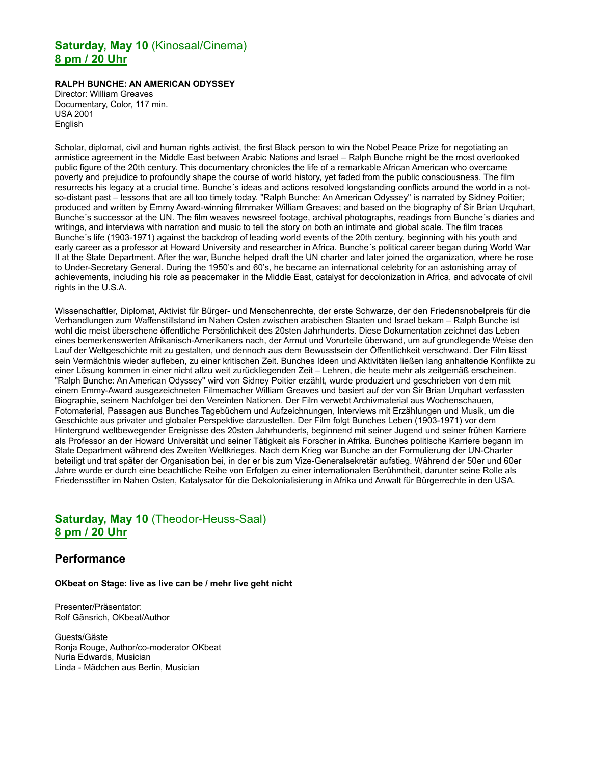## **Saturday, May 10** (Kinosaal/Cinema) **8 pm / 20 Uhr**

### **RALPH BUNCHE: AN AMERICAN ODYSSEY**

Director: William Greaves Documentary, Color, 117 min. USA 2001 English

Scholar, diplomat, civil and human rights activist, the first Black person to win the Nobel Peace Prize for negotiating an armistice agreement in the Middle East between Arabic Nations and Israel – Ralph Bunche might be the most overlooked public figure of the 20th century. This documentary chronicles the life of a remarkable African American who overcame poverty and prejudice to profoundly shape the course of world history, yet faded from the public consciousness. The film resurrects his legacy at a crucial time. Bunche´s ideas and actions resolved longstanding conflicts around the world in a notso-distant past – lessons that are all too timely today. "Ralph Bunche: An American Odyssey" is narrated by Sidney Poitier; produced and written by Emmy Award-winning filmmaker William Greaves; and based on the biography of Sir Brian Urquhart, Bunche´s successor at the UN. The film weaves newsreel footage, archival photographs, readings from Bunche´s diaries and writings, and interviews with narration and music to tell the story on both an intimate and global scale. The film traces Bunche´s life (1903-1971) against the backdrop of leading world events of the 20th century, beginning with his youth and early career as a professor at Howard University and researcher in Africa. Bunche´s political career began during World War II at the State Department. After the war, Bunche helped draft the UN charter and later joined the organization, where he rose to Under-Secretary General. During the 1950's and 60's, he became an international celebrity for an astonishing array of achievements, including his role as peacemaker in the Middle East, catalyst for decolonization in Africa, and advocate of civil rights in the U.S.A.

Wissenschaftler, Diplomat, Aktivist für Bürger- und Menschenrechte, der erste Schwarze, der den Friedensnobelpreis für die Verhandlungen zum Waffenstillstand im Nahen Osten zwischen arabischen Staaten und Israel bekam – Ralph Bunche ist wohl die meist übersehene öffentliche Persönlichkeit des 20sten Jahrhunderts. Diese Dokumentation zeichnet das Leben eines bemerkenswerten Afrikanisch-Amerikaners nach, der Armut und Vorurteile überwand, um auf grundlegende Weise den Lauf der Weltgeschichte mit zu gestalten, und dennoch aus dem Bewusstsein der Öffentlichkeit verschwand. Der Film lässt sein Vermächtnis wieder aufleben, zu einer kritischen Zeit. Bunches Ideen und Aktivitäten ließen lang anhaltende Konflikte zu einer Lösung kommen in einer nicht allzu weit zurückliegenden Zeit – Lehren, die heute mehr als zeitgemäß erscheinen. "Ralph Bunche: An American Odyssey" wird von Sidney Poitier erzählt, wurde produziert und geschrieben von dem mit einem Emmy-Award ausgezeichneten Filmemacher William Greaves und basiert auf der von Sir Brian Urquhart verfassten Biographie, seinem Nachfolger bei den Vereinten Nationen. Der Film verwebt Archivmaterial aus Wochenschauen, Fotomaterial, Passagen aus Bunches Tagebüchern und Aufzeichnungen, Interviews mit Erzählungen und Musik, um die Geschichte aus privater und globaler Perspektive darzustellen. Der Film folgt Bunches Leben (1903-1971) vor dem Hintergrund weltbewegender Ereignisse des 20sten Jahrhunderts, beginnend mit seiner Jugend und seiner frühen Karriere als Professor an der Howard Universität und seiner Tätigkeit als Forscher in Afrika. Bunches politische Karriere begann im State Department während des Zweiten Weltkrieges. Nach dem Krieg war Bunche an der Formulierung der UN-Charter beteiligt und trat später der Organisation bei, in der er bis zum Vize-Generalsekretär aufstieg. Während der 50er und 60er Jahre wurde er durch eine beachtliche Reihe von Erfolgen zu einer internationalen Berühmtheit, darunter seine Rolle als Friedensstifter im Nahen Osten, Katalysator für die Dekolonialisierung in Afrika und Anwalt für Bürgerrechte in den USA.

## **Saturday, May 10** (Theodor-Heuss-Saal) **8 pm / 20 Uhr**

### **Performance**

**OKbeat on Stage: live as live can be / mehr live geht nicht**

Presenter/Präsentator: Rolf Gänsrich, OKbeat/Author

Guests/Gäste Ronja Rouge, Author/co-moderator OKbeat Nuria Edwards, Musician Linda - Mädchen aus Berlin, Musician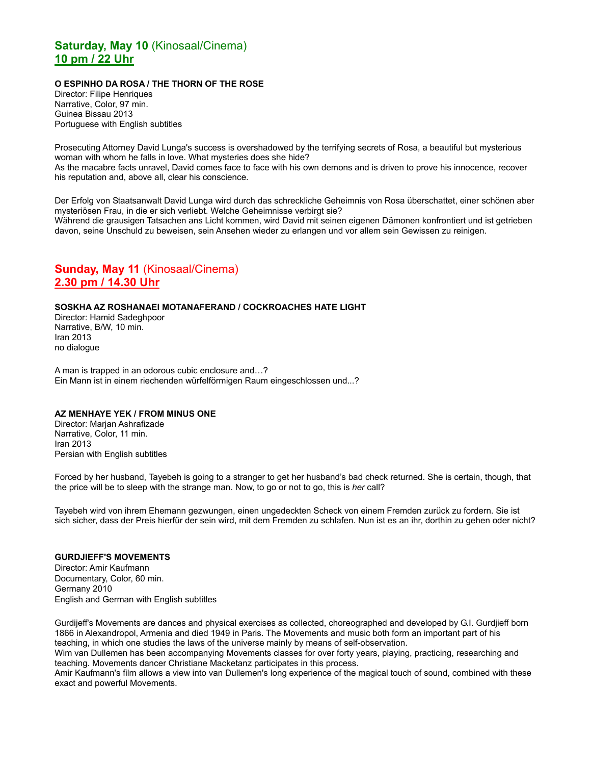## **Saturday, May 10** (Kinosaal/Cinema) **10 pm / 22 Uhr**

### **O ESPINHO DA ROSA / THE THORN OF THE ROSE**

Director: Filipe Henriques Narrative, Color, 97 min. Guinea Bissau 2013 Portuguese with English subtitles

Prosecuting Attorney David Lunga's success is overshadowed by the terrifying secrets of Rosa, a beautiful but mysterious woman with whom he falls in love. What mysteries does she hide? As the macabre facts unravel, David comes face to face with his own demons and is driven to prove his innocence, recover his reputation and, above all, clear his conscience.

Der Erfolg von Staatsanwalt David Lunga wird durch das schreckliche Geheimnis von Rosa überschattet, einer schönen aber mysteriösen Frau, in die er sich verliebt. Welche Geheimnisse verbirgt sie? Während die grausigen Tatsachen ans Licht kommen, wird David mit seinen eigenen Dämonen konfrontiert und ist getrieben davon, seine Unschuld zu beweisen, sein Ansehen wieder zu erlangen und vor allem sein Gewissen zu reinigen.

## **Sunday, May 11** (Kinosaal/Cinema) **2.30 pm / 14.30 Uhr**

### **SOSKHA AZ ROSHANAEI MOTANAFERAND / COCKROACHES HATE LIGHT**

Director: Hamid Sadeghpoor Narrative, B/W, 10 min. Iran 2013 no dialogue

A man is trapped in an odorous cubic enclosure and…? Ein Mann ist in einem riechenden würfelförmigen Raum eingeschlossen und...?

### **AZ MENHAYE YEK / FROM MINUS ONE**

Director: Marian Ashrafizade Narrative, Color, 11 min. Iran 2013 Persian with English subtitles

Forced by her husband, Tayebeh is going to a stranger to get her husband's bad check returned. She is certain, though, that the price will be to sleep with the strange man. Now, to go or not to go, this is *her* call?

Tayebeh wird von ihrem Ehemann gezwungen, einen ungedeckten Scheck von einem Fremden zurück zu fordern. Sie ist sich sicher, dass der Preis hierfür der sein wird, mit dem Fremden zu schlafen. Nun ist es an ihr, dorthin zu gehen oder nicht?

### **GURDJIEFF'S MOVEMENTS**

Director: Amir Kaufmann Documentary, Color, 60 min. Germany 2010 English and German with English subtitles

Gurdijeff's Movements are dances and physical exercises as collected, choreographed and developed by G.I. Gurdjieff born 1866 in Alexandropol, Armenia and died 1949 in Paris. The Movements and music both form an important part of his teaching, in which one studies the laws of the universe mainly by means of self-observation.

Wim van Dullemen has been accompanying Movements classes for over forty years, playing, practicing, researching and teaching. Movements dancer Christiane Macketanz participates in this process.

Amir Kaufmann's film allows a view into van Dullemen's long experience of the magical touch of sound, combined with these exact and powerful Movements.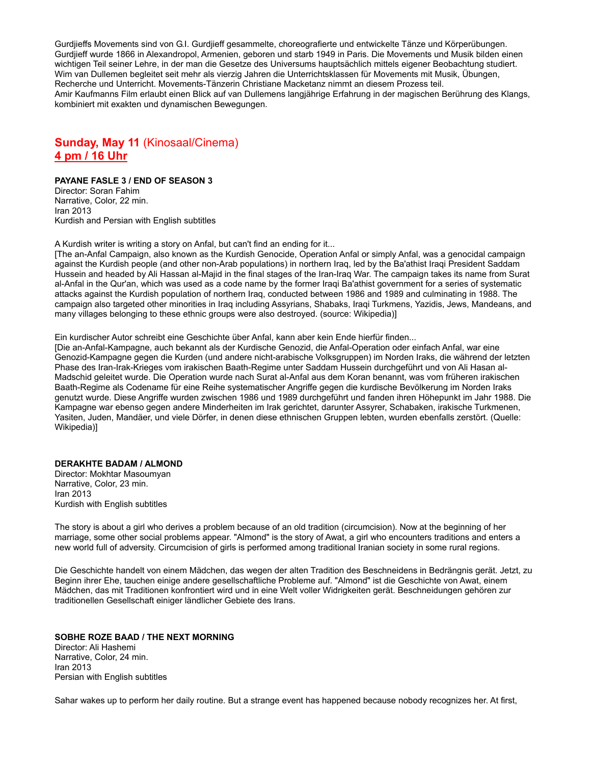Gurdjieffs Movements sind von G.I. Gurdjieff gesammelte, choreografierte und entwickelte Tänze und Körperübungen. Gurdjieff wurde 1866 in Alexandropol, Armenien, geboren und starb 1949 in Paris. Die Movements und Musik bilden einen wichtigen Teil seiner Lehre, in der man die Gesetze des Universums hauptsächlich mittels eigener Beobachtung studiert. Wim van Dullemen begleitet seit mehr als vierzig Jahren die Unterrichtsklassen für Movements mit Musik, Übungen, Recherche und Unterricht. Movements-Tänzerin Christiane Macketanz nimmt an diesem Prozess teil. Amir Kaufmanns Film erlaubt einen Blick auf van Dullemens langjährige Erfahrung in der magischen Berührung des Klangs, kombiniert mit exakten und dynamischen Bewegungen.

## **Sunday, May 11** (Kinosaal/Cinema) **4 pm / 16 Uhr**

### **PAYANE FASLE 3 / END OF SEASON 3**

Director: Soran Fahim Narrative, Color, 22 min. Iran 2013 Kurdish and Persian with English subtitles

A Kurdish writer is writing a story on Anfal, but can't find an ending for it...

[The an-Anfal Campaign, also known as the Kurdish Genocide, Operation Anfal or simply Anfal, was a genocidal campaign against the Kurdish people (and other non-Arab populations) in northern Iraq, led by the Ba'athist Iraqi President Saddam Hussein and headed by Ali Hassan al-Majid in the final stages of the Iran-Iraq War. The campaign takes its name from Surat al-Anfal in the Qur'an, which was used as a code name by the former Iraqi Ba'athist government for a series of systematic attacks against the Kurdish population of northern Iraq, conducted between 1986 and 1989 and culminating in 1988. The campaign also targeted other minorities in Iraq including Assyrians, Shabaks, Iraqi Turkmens, Yazidis, Jews, Mandeans, and many villages belonging to these ethnic groups were also destroyed. (source: Wikipedia)]

Ein kurdischer Autor schreibt eine Geschichte über Anfal, kann aber kein Ende hierfür finden...

[Die an-Anfal-Kampagne, auch bekannt als der Kurdische Genozid, die Anfal-Operation oder einfach Anfal, war eine Genozid-Kampagne gegen die Kurden (und andere nicht-arabische Volksgruppen) im Norden Iraks, die während der letzten Phase des Iran-Irak-Krieges vom irakischen Baath-Regime unter Saddam Hussein durchgeführt und von Ali Hasan al-Madschid geleitet wurde. Die Operation wurde nach Surat al-Anfal aus dem Koran benannt, was vom früheren irakischen Baath-Regime als Codename für eine Reihe systematischer Angriffe gegen die kurdische Bevölkerung im Norden Iraks genutzt wurde. Diese Angriffe wurden zwischen 1986 und 1989 durchgeführt und fanden ihren Höhepunkt im Jahr 1988. Die Kampagne war ebenso gegen andere Minderheiten im Irak gerichtet, darunter Assyrer, Schabaken, irakische Turkmenen, Yasiten, Juden, Mandäer, und viele Dörfer, in denen diese ethnischen Gruppen lebten, wurden ebenfalls zerstört. (Quelle: Wikipedia)]

### **DERAKHTE BADAM / ALMOND**

Director: Mokhtar Masoumyan Narrative, Color, 23 min. Iran 2013 Kurdish with English subtitles

The story is about a girl who derives a problem because of an old tradition (circumcision). Now at the beginning of her marriage, some other social problems appear. "Almond" is the story of Awat, a girl who encounters traditions and enters a new world full of adversity. Circumcision of girls is performed among traditional Iranian society in some rural regions.

Die Geschichte handelt von einem Mädchen, das wegen der alten Tradition des Beschneidens in Bedrängnis gerät. Jetzt, zu Beginn ihrer Ehe, tauchen einige andere gesellschaftliche Probleme auf. "Almond" ist die Geschichte von Awat, einem Mädchen, das mit Traditionen konfrontiert wird und in eine Welt voller Widrigkeiten gerät. Beschneidungen gehören zur traditionellen Gesellschaft einiger ländlicher Gebiete des Irans.

### **SOBHE ROZE BAAD / THE NEXT MORNING**

Director: Ali Hashemi Narrative, Color, 24 min. Iran 2013 Persian with English subtitles

Sahar wakes up to perform her daily routine. But a strange event has happened because nobody recognizes her. At first,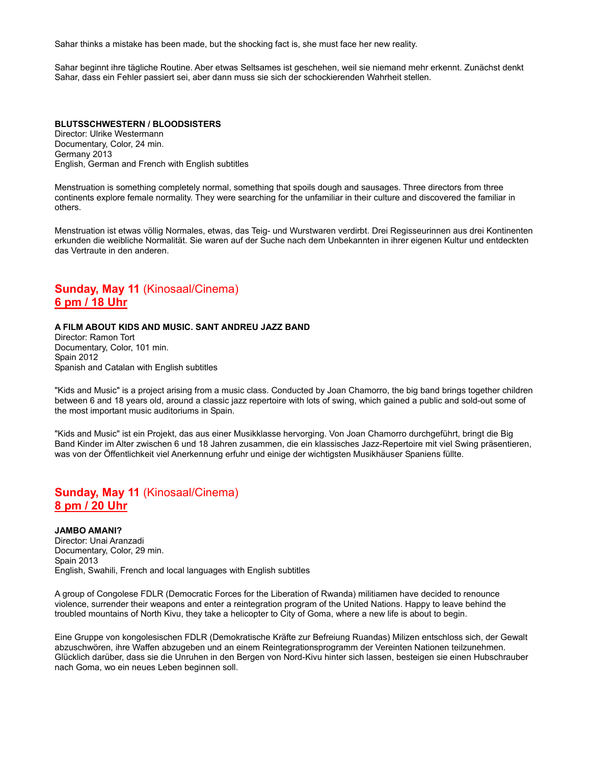Sahar thinks a mistake has been made, but the shocking fact is, she must face her new reality.

Sahar beginnt ihre tägliche Routine. Aber etwas Seltsames ist geschehen, weil sie niemand mehr erkennt. Zunächst denkt Sahar, dass ein Fehler passiert sei, aber dann muss sie sich der schockierenden Wahrheit stellen.

**BLUTSSCHWESTERN / BLOODSISTERS** Director: Ulrike Westermann Documentary, Color, 24 min. Germany 2013 English, German and French with English subtitles

Menstruation is something completely normal, something that spoils dough and sausages. Three directors from three continents explore female normality. They were searching for the unfamiliar in their culture and discovered the familiar in others.

Menstruation ist etwas völlig Normales, etwas, das Teig- und Wurstwaren verdirbt. Drei Regisseurinnen aus drei Kontinenten erkunden die weibliche Normalität. Sie waren auf der Suche nach dem Unbekannten in ihrer eigenen Kultur und entdeckten das Vertraute in den anderen.

## **Sunday, May 11** (Kinosaal/Cinema) **6 pm / 18 Uhr**

### **A FILM ABOUT KIDS AND MUSIC. SANT ANDREU JAZZ BAND**

Director: Ramon Tort Documentary, Color, 101 min. Spain 2012 Spanish and Catalan with English subtitles

"Kids and Music" is a project arising from a music class. Conducted by Joan Chamorro, the big band brings together children between 6 and 18 years old, around a classic jazz repertoire with lots of swing, which gained a public and sold-out some of the most important music auditoriums in Spain.

"Kids and Music" ist ein Projekt, das aus einer Musikklasse hervorging. Von Joan Chamorro durchgeführt, bringt die Big Band Kinder im Alter zwischen 6 und 18 Jahren zusammen, die ein klassisches Jazz-Repertoire mit viel Swing präsentieren, was von der Öffentlichkeit viel Anerkennung erfuhr und einige der wichtigsten Musikhäuser Spaniens füllte.

## **Sunday, May 11** (Kinosaal/Cinema) **8 pm / 20 Uhr**

**JAMBO AMANI?** Director: Unai Aranzadi Documentary, Color, 29 min. Spain 2013 English, Swahili, French and local languages with English subtitles

A group of Congolese FDLR (Democratic Forces for the Liberation of Rwanda) militiamen have decided to renounce violence, surrender their weapons and enter a reintegration program of the United Nations. Happy to leave behind the troubled mountains of North Kivu, they take a helicopter to City of Goma, where a new life is about to begin.

Eine Gruppe von kongolesischen FDLR (Demokratische Kräfte zur Befreiung Ruandas) Milizen entschloss sich, der Gewalt abzuschwören, ihre Waffen abzugeben und an einem Reintegrationsprogramm der Vereinten Nationen teilzunehmen. Glücklich darüber, dass sie die Unruhen in den Bergen von Nord-Kivu hinter sich lassen, besteigen sie einen Hubschrauber nach Goma, wo ein neues Leben beginnen soll.